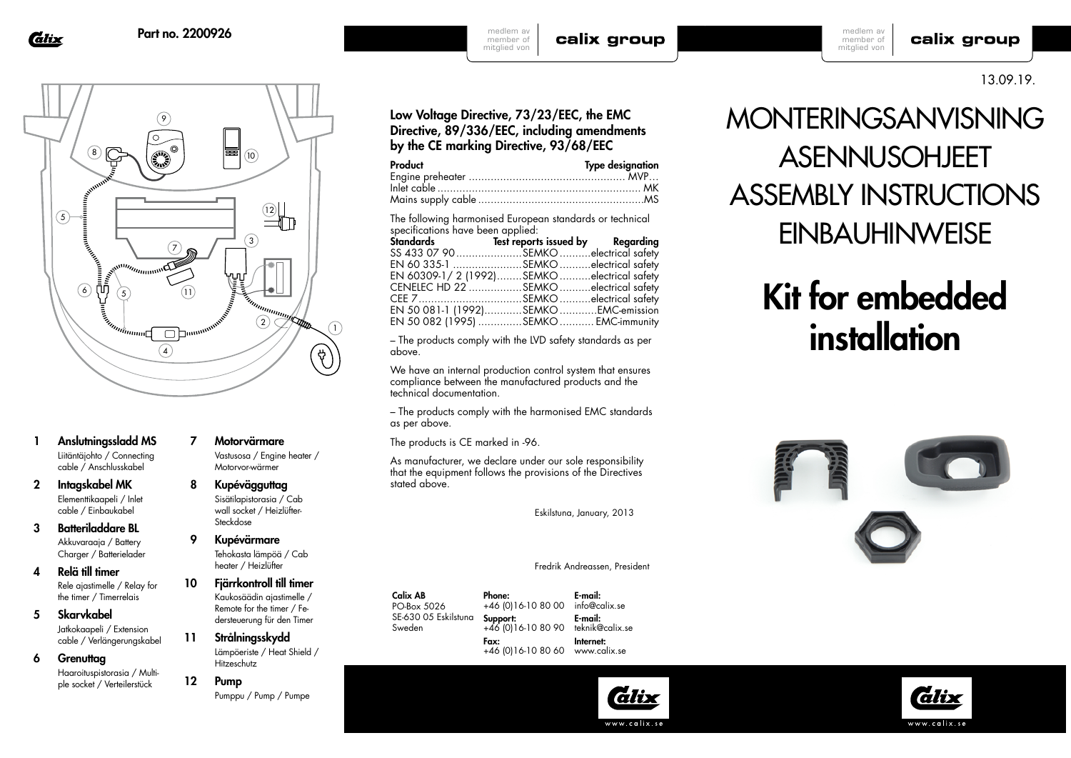**Calix** 



- 1 Anslutningssladd MS Liitäntäjohto / Connecting cable / Anschlusskabel
- 2 Intagskabel MK Elementtikaapeli / Inlet cable / Einbaukabel
- 3 Batteriladdare BL Akkuvaraaja / Battery Charger / Batterielader
- 4 Relä till timer Rele ajastimelle / Relay for the timer / Timerrelais
- 5 Skarvkabel Jatkokaapeli / Extension cable / Verlängerungskabel
- 6 Grenuttag Haaroituspistorasia / Multiple socket / Verteilerstück
- 7 Motorvärmare
- 8 Kupévägguttag Sisätilapistorasia / Cab wall socket / Heizlüfter-Steckdose

9 Kupévärmare heater / Heizlüfter

- 10 Fjärrkontroll till timer Kaukosäädin ajastimelle / Remote for the timer / Federsteuerung für den Timer
- 11 Strålningsskydd Lämpöeriste / Heat Shield / Hitzeschutz
- 12 Pump Pumppu / Pump / Pumpe

 Vastusosa / Engine heater / Motorvor-wärmer

Tehokasta lämpöä / Cab

- Calix AB Phone:
	- PO-Box 5026 SE-630 05 Eskilstuna Sweden Fax:

+46 (0)16-10 80 00 Support: +46 (0)16-10 80 90 +46 (0)16-10 80 60 www.calix.se info@calix.se E-mail: teknik@calix.se Internet:

## calix group

medlem av member of mitglied von

calix group

13.09.19.

### Low Voltage Directive, 73/23/EEC, the EMC Directive, 89/336/EEC, including amendments by the CE marking Directive, 93/68/EEC

medlem av member of mitglied von

| Product | <b>Type designation</b> |
|---------|-------------------------|
|         |                         |
|         |                         |
|         |                         |

The following harmonised European standards or technical specifications have been applied:

| SS 433 07 90SEMKOelectrical safety        |  |
|-------------------------------------------|--|
| EN 60 335-1 SEMKO electrical safety       |  |
| EN 60309-1/2 (1992)SEMKOelectrical safety |  |
| CENELEC HD 22 SEMKO electrical safety     |  |
| CEE 7SEMKOelectrical safety               |  |
| EN 50 081-1 (1992)SEMKOEMC-emission       |  |
| EN 50 082 (1995) SEMKO  EMC-immunity      |  |

– The products comply with the LVD safety standards as per above.

We have an internal production control system that ensures compliance between the manufactured products and the technical documentation.

– The products comply with the harmonised EMC standards as per above.

The products is CE marked in -96.

As manufacturer, we declare under our sole responsibility that the equipment follows the provisions of the Directives stated above.

Eskilstuna, January, 2013

#### Fredrik Andreassen, President

E-mail:

lälix

# MONTERINGSANVISNING **ASENNUSOHJEET** ASSEMBLY INSTRUCTIONS **EINBAUHINWEISE**

# Kit for embedded installation



www.calix.se